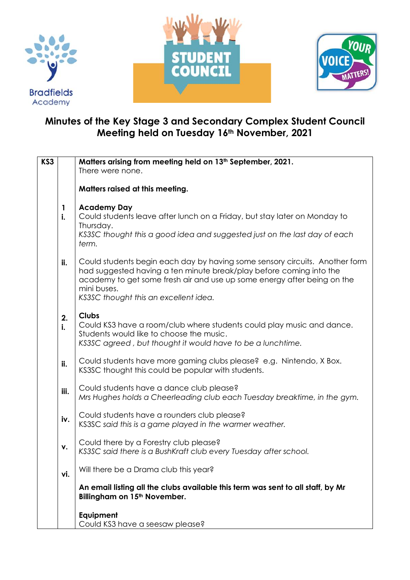





## **Minutes of the Key Stage 3 and Secondary Complex Student Council Meeting held on Tuesday 16th November, 2021**

| KS3 |          | Matters arising from meeting held on 13 <sup>th</sup> September, 2021.                                                                                                                                                                                                                |
|-----|----------|---------------------------------------------------------------------------------------------------------------------------------------------------------------------------------------------------------------------------------------------------------------------------------------|
|     |          | There were none.                                                                                                                                                                                                                                                                      |
|     |          | Matters raised at this meeting.                                                                                                                                                                                                                                                       |
|     | 1<br>i.  | <b>Academy Day</b><br>Could students leave after lunch on a Friday, but stay later on Monday to                                                                                                                                                                                       |
|     |          | Thursday.<br>KS3SC thought this a good idea and suggested just on the last day of each<br>term.                                                                                                                                                                                       |
|     | ii.      | Could students begin each day by having some sensory circuits. Another form<br>had suggested having a ten minute break/play before coming into the<br>academy to get some fresh air and use up some energy after being on the<br>mini buses.<br>KS3SC thought this an excellent idea. |
|     | 2.<br>i. | <b>Clubs</b><br>Could KS3 have a room/club where students could play music and dance.<br>Students would like to choose the music.<br>KS3SC agreed, but thought it would have to be a lunchtime.                                                                                       |
|     | ii.      | Could students have more gaming clubs please? e.g. Nintendo, X Box.<br>KS3SC thought this could be popular with students.                                                                                                                                                             |
|     | iii.     | Could students have a dance club please?<br>Mrs Hughes holds a Cheerleading club each Tuesday breaktime, in the gym.                                                                                                                                                                  |
|     | iv.      | Could students have a rounders club please?<br>KS3SC said this is a game played in the warmer weather.                                                                                                                                                                                |
|     | ٧.       | Could there by a Forestry club please?<br>KS3SC said there is a BushKraft club every Tuesday after school.                                                                                                                                                                            |
|     | vi.      | Will there be a Drama club this year?                                                                                                                                                                                                                                                 |
|     |          | An email listing all the clubs available this term was sent to all staff, by Mr<br>Billingham on 15 <sup>th</sup> November.                                                                                                                                                           |
|     |          | Equipment<br>Could KS3 have a seesaw please?                                                                                                                                                                                                                                          |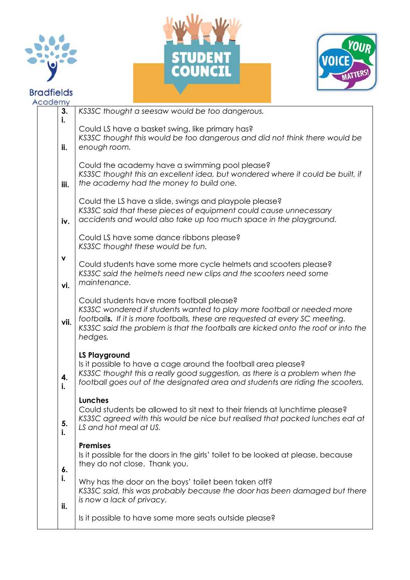





| Academy |          |                                                                                                                                                                                                                                                                                                     |
|---------|----------|-----------------------------------------------------------------------------------------------------------------------------------------------------------------------------------------------------------------------------------------------------------------------------------------------------|
|         | 3.<br>i. | KS3SC thought a seesaw would be too dangerous.                                                                                                                                                                                                                                                      |
|         | ii.      | Could LS have a basket swing, like primary has?<br>KS3SC thought this would be too dangerous and did not think there would be<br>enough room.                                                                                                                                                       |
|         | iii.     | Could the academy have a swimming pool please?<br>KS3SC thought this an excellent idea, but wondered where it could be built, if<br>the academy had the money to build one.                                                                                                                         |
|         | iv.      | Could the LS have a slide, swings and playpole please?<br>KS3SC said that these pieces of equipment could cause unnecessary<br>accidents and would also take up too much space in the playground.                                                                                                   |
|         |          | Could LS have some dance ribbons please?<br>KS3SC thought these would be fun.                                                                                                                                                                                                                       |
|         | ۷<br>vi. | Could students have some more cycle helmets and scooters please?<br>KS3SC said the helmets need new clips and the scooters need some<br>maintenance.                                                                                                                                                |
|         | vii.     | Could students have more football please?<br>KS3SC wondered if students wanted to play more football or needed more<br>footballs. If it is more footballs, these are requested at every SC meeting.<br>KS3SC said the problem is that the footballs are kicked onto the roof or into the<br>hedges. |
|         | 4.<br>i. | <b>LS Playground</b><br>Is it possible to have a cage around the football area please?<br>KS3SC thought this a really good suggestion, as there is a problem when the<br>football goes out of the designated area and students are riding the scooters.                                             |
|         | 5.<br>i. | <b>Lunches</b><br>Could students be allowed to sit next to their friends at lunchtime please?<br>KS3SC agreed with this would be nice but realised that packed lunches eat at<br>LS and hot meal at US.                                                                                             |
|         | 6.       | <b>Premises</b><br>Is it possible for the doors in the girls' toilet to be looked at please, because<br>they do not close. Thank you.                                                                                                                                                               |
|         | i.       | Why has the door on the boys' toilet been taken off?<br>KS3SC said, this was probably because the door has been damaged but there<br>is now a lack of privacy.                                                                                                                                      |
|         | ii.      | Is it possible to have some more seats outside please?                                                                                                                                                                                                                                              |